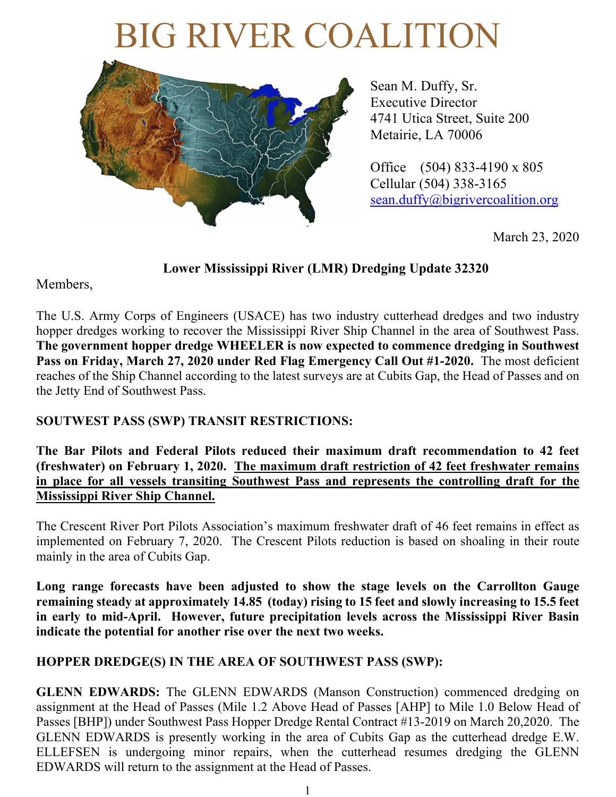# BIG RIVER COALITION



Sean M. Duffy, Sr. Executive Director 4741 Utica Street, Suite 200 Metairie, LA 70006

Office (504) 833-4190 x 805 Cellular (504) 338-3165 sean.duffy@bigrivercoalition.org

March 23, 2020

**Lower Mississippi River (LMR) Dredging Update 32320**

Members,

The U.S. Army Corps of Engineers (USACE) has two industry cutterhead dredges and two industry hopper dredges working to recover the Mississippi River Ship Channel in the area of Southwest Pass. **The government hopper dredge WHEELER is now expected to commence dredging in Southwest Pass on Friday, March 27, 2020 under Red Flag Emergency Call Out #1-2020.** The most deficient reaches of the Ship Channel according to the latest surveys are at Cubits Gap, the Head of Passes and on the Jetty End of Southwest Pass.

## **SOUTWEST PASS (SWP) TRANSIT RESTRICTIONS:**

**The Bar Pilots and Federal Pilots reduced their maximum draft recommendation to 42 feet (freshwater) on February 1, 2020. The maximum draft restriction of 42 feet freshwater remains in place for all vessels transiting Southwest Pass and represents the controlling draft for the Mississippi River Ship Channel.**

The Crescent River Port Pilots Association's maximum freshwater draft of 46 feet remains in effect as implemented on February 7, 2020. The Crescent Pilots reduction is based on shoaling in their route mainly in the area of Cubits Gap.

**Long range forecasts have been adjusted to show the stage levels on the Carrollton Gauge remaining steady at approximately 14.85 (today) rising to 15 feet and slowly increasing to 15.5 feet in early to mid-April. However, future precipitation levels across the Mississippi River Basin indicate the potential for another rise over the next two weeks.**

## **HOPPER DREDGE(S) IN THE AREA OF SOUTHWEST PASS (SWP):**

**GLENN EDWARDS:** The GLENN EDWARDS (Manson Construction) commenced dredging on assignment at the Head of Passes (Mile 1.2 Above Head of Passes [AHP] to Mile 1.0 Below Head of Passes [BHP]) under Southwest Pass Hopper Dredge Rental Contract #13-2019 on March 20,2020. The GLENN EDWARDS is presently working in the area of Cubits Gap as the cutterhead dredge E.W. ELLEFSEN is undergoing minor repairs, when the cutterhead resumes dredging the GLENN EDWARDS will return to the assignment at the Head of Passes.